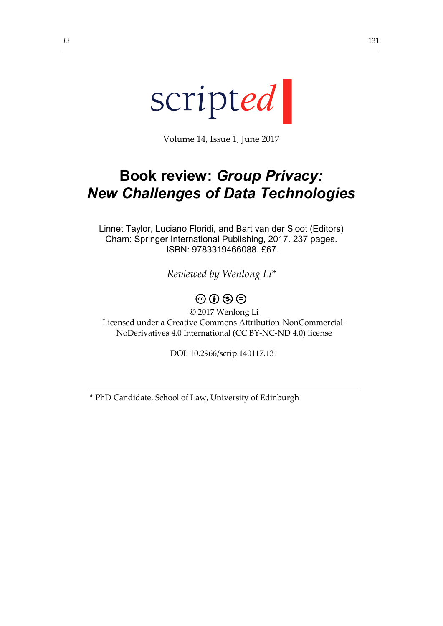

Volume 14, Issue 1, June 2017

## **Book review:** *Group Privacy: New Challenges of Data Technologies*

Linnet Taylor, Luciano Floridi, and Bart van der Sloot (Editors) Cham: Springer International Publishing, 2017. 237 pages. ISBN: 9783319466088. £67.

*Reviewed by Wenlong Li\**

## $\circledcirc \circ \circledcirc$

© 2017 Wenlong Li Licensed under a Creative Commons Attribution-NonCommercial-NoDerivatives 4.0 International (CC BY-NC-ND 4.0) license

DOI: 10.2966/scrip.140117.131

\* PhD Candidate, School of Law, University of Edinburgh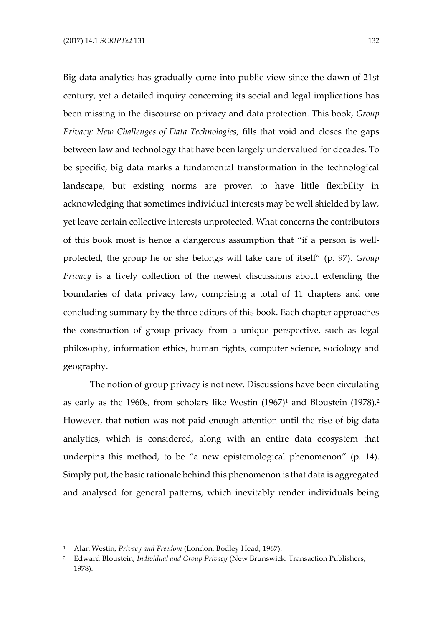Big data analytics has gradually come into public view since the dawn of 21st century, yet a detailed inquiry concerning its social and legal implications has been missing in the discourse on privacy and data protection. This book, *Group Privacy: New Challenges of Data Technologies*, fills that void and closes the gaps between law and technology that have been largely undervalued for decades. To be specific, big data marks a fundamental transformation in the technological landscape, but existing norms are proven to have little flexibility in acknowledging that sometimes individual interests may be well shielded by law, yet leave certain collective interests unprotected. What concerns the contributors of this book most is hence a dangerous assumption that "if a person is wellprotected, the group he or she belongs will take care of itself" (p. 97). *Group Privacy* is a lively collection of the newest discussions about extending the boundaries of data privacy law, comprising a total of 11 chapters and one concluding summary by the three editors of this book. Each chapter approaches the construction of group privacy from a unique perspective, such as legal philosophy, information ethics, human rights, computer science, sociology and geography.

The notion of group privacy is not new. Discussions have been circulating as early as the 1960s, from scholars like Westin  $(1967)^1$  and Bloustein  $(1978)^2$ . However, that notion was not paid enough attention until the rise of big data analytics, which is considered, along with an entire data ecosystem that underpins this method, to be "a new epistemological phenomenon" (p. 14). Simply put, the basic rationale behind this phenomenon is that data is aggregated and analysed for general patterns, which inevitably render individuals being

-

<sup>1</sup> Alan Westin, *Privacy and Freedom* (London: Bodley Head, 1967).

<sup>2</sup> Edward Bloustein, *Individual and Group Privacy* (New Brunswick: Transaction Publishers, 1978).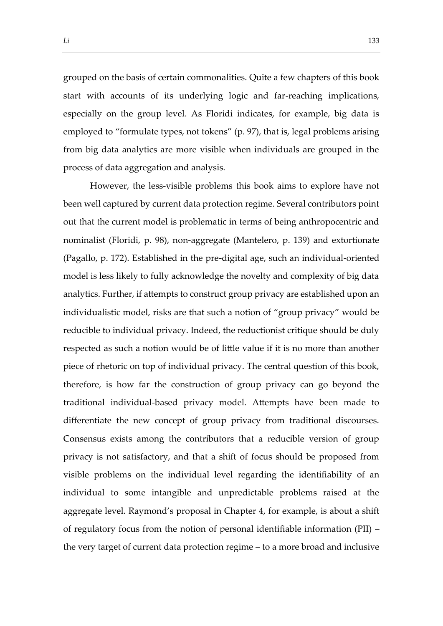grouped on the basis of certain commonalities. Quite a few chapters of this book start with accounts of its underlying logic and far-reaching implications, especially on the group level. As Floridi indicates, for example, big data is employed to "formulate types, not tokens" (p. 97), that is, legal problems arising from big data analytics are more visible when individuals are grouped in the process of data aggregation and analysis.

However, the less-visible problems this book aims to explore have not been well captured by current data protection regime. Several contributors point out that the current model is problematic in terms of being anthropocentric and nominalist (Floridi, p. 98), non-aggregate (Mantelero, p. 139) and extortionate (Pagallo, p. 172). Established in the pre-digital age, such an individual-oriented model is less likely to fully acknowledge the novelty and complexity of big data analytics. Further, if attempts to construct group privacy are established upon an individualistic model, risks are that such a notion of "group privacy" would be reducible to individual privacy. Indeed, the reductionist critique should be duly respected as such a notion would be of little value if it is no more than another piece of rhetoric on top of individual privacy. The central question of this book, therefore, is how far the construction of group privacy can go beyond the traditional individual-based privacy model. Attempts have been made to differentiate the new concept of group privacy from traditional discourses. Consensus exists among the contributors that a reducible version of group privacy is not satisfactory, and that a shift of focus should be proposed from visible problems on the individual level regarding the identifiability of an individual to some intangible and unpredictable problems raised at the aggregate level. Raymond's proposal in Chapter 4, for example, is about a shift of regulatory focus from the notion of personal identifiable information (PII) – the very target of current data protection regime – to a more broad and inclusive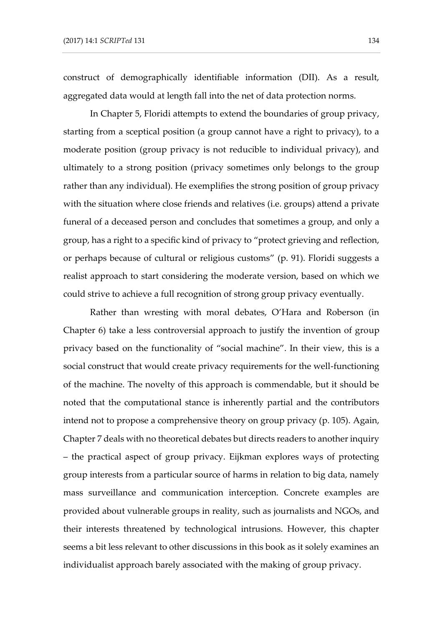construct of demographically identifiable information (DII). As a result, aggregated data would at length fall into the net of data protection norms.

In Chapter 5, Floridi attempts to extend the boundaries of group privacy, starting from a sceptical position (a group cannot have a right to privacy), to a moderate position (group privacy is not reducible to individual privacy), and ultimately to a strong position (privacy sometimes only belongs to the group rather than any individual). He exemplifies the strong position of group privacy with the situation where close friends and relatives (i.e. groups) attend a private funeral of a deceased person and concludes that sometimes a group, and only a group, has a right to a specific kind of privacy to "protect grieving and reflection, or perhaps because of cultural or religious customs" (p. 91). Floridi suggests a realist approach to start considering the moderate version, based on which we could strive to achieve a full recognition of strong group privacy eventually.

Rather than wresting with moral debates, O'Hara and Roberson (in Chapter 6) take a less controversial approach to justify the invention of group privacy based on the functionality of "social machine". In their view, this is a social construct that would create privacy requirements for the well-functioning of the machine. The novelty of this approach is commendable, but it should be noted that the computational stance is inherently partial and the contributors intend not to propose a comprehensive theory on group privacy (p. 105). Again, Chapter 7 deals with no theoretical debates but directs readers to another inquiry – the practical aspect of group privacy. Eijkman explores ways of protecting group interests from a particular source of harms in relation to big data, namely mass surveillance and communication interception. Concrete examples are provided about vulnerable groups in reality, such as journalists and NGOs, and their interests threatened by technological intrusions. However, this chapter seems a bit less relevant to other discussions in this book as it solely examines an individualist approach barely associated with the making of group privacy.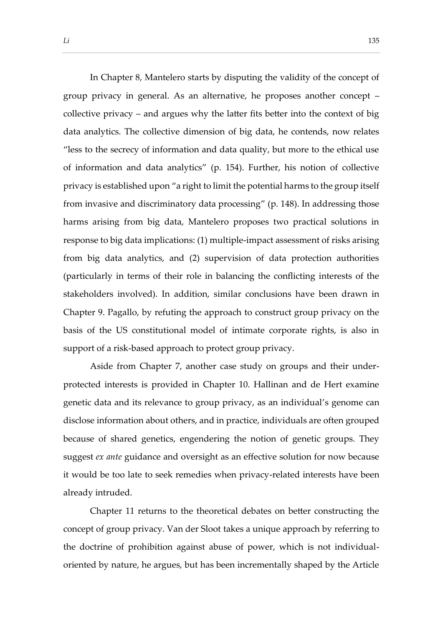In Chapter 8, Mantelero starts by disputing the validity of the concept of group privacy in general. As an alternative, he proposes another concept – collective privacy – and argues why the latter fits better into the context of big data analytics. The collective dimension of big data, he contends, now relates "less to the secrecy of information and data quality, but more to the ethical use of information and data analytics" (p. 154). Further, his notion of collective privacy is established upon "a right to limit the potential harms to the group itself from invasive and discriminatory data processing" (p. 148). In addressing those harms arising from big data, Mantelero proposes two practical solutions in response to big data implications: (1) multiple-impact assessment of risks arising from big data analytics, and (2) supervision of data protection authorities (particularly in terms of their role in balancing the conflicting interests of the stakeholders involved). In addition, similar conclusions have been drawn in Chapter 9. Pagallo, by refuting the approach to construct group privacy on the basis of the US constitutional model of intimate corporate rights, is also in support of a risk-based approach to protect group privacy.

Aside from Chapter 7, another case study on groups and their underprotected interests is provided in Chapter 10. Hallinan and de Hert examine genetic data and its relevance to group privacy, as an individual's genome can disclose information about others, and in practice, individuals are often grouped because of shared genetics, engendering the notion of genetic groups. They suggest *ex ante* guidance and oversight as an effective solution for now because it would be too late to seek remedies when privacy-related interests have been already intruded.

Chapter 11 returns to the theoretical debates on better constructing the concept of group privacy. Van der Sloot takes a unique approach by referring to the doctrine of prohibition against abuse of power, which is not individualoriented by nature, he argues, but has been incrementally shaped by the Article